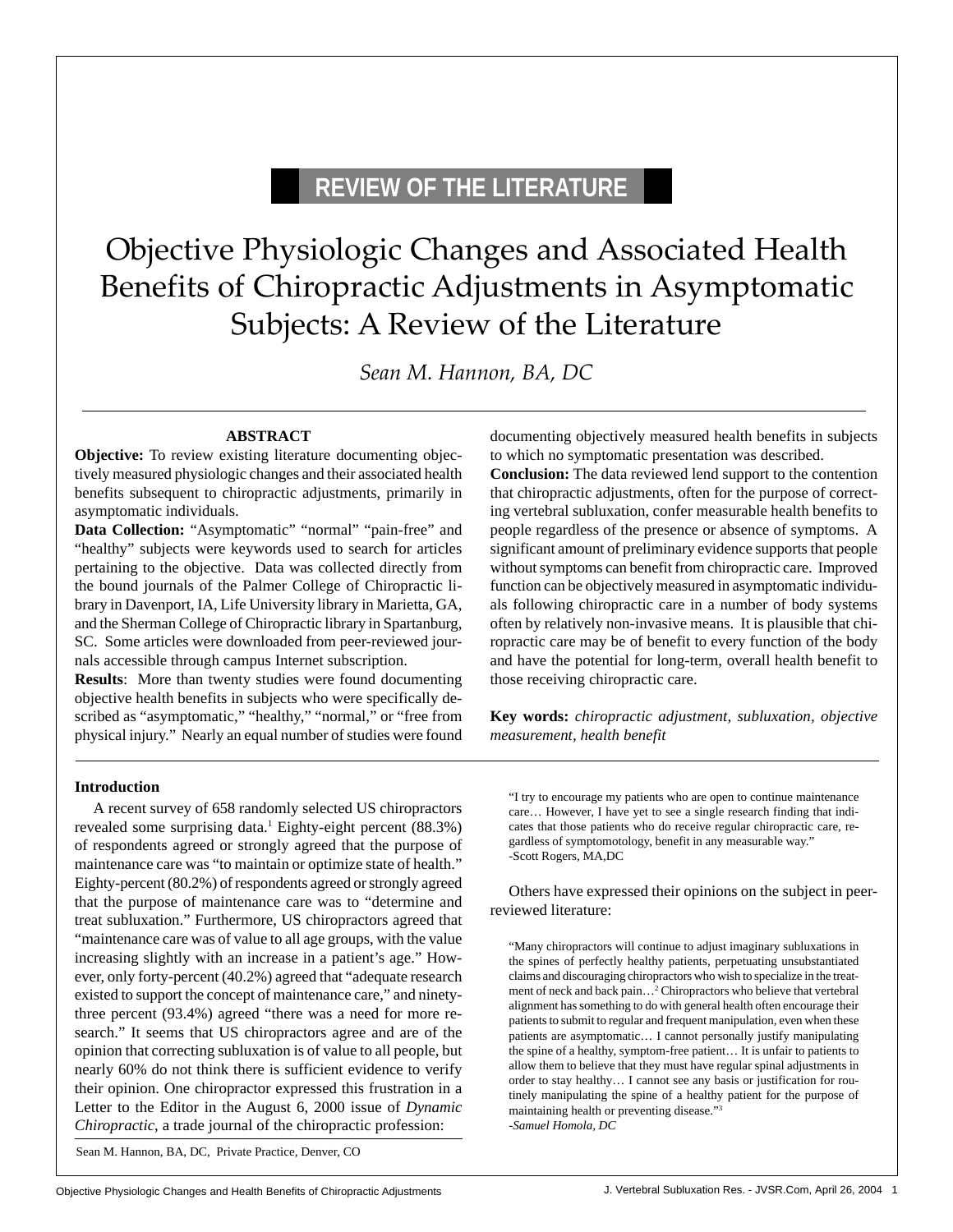# **REVIEW OF THE LITERATURE**

# Objective Physiologic Changes and Associated Health Benefits of Chiropractic Adjustments in Asymptomatic Subjects: A Review of the Literature

*Sean M. Hannon, BA, DC*

## **ABSTRACT**

**Objective:** To review existing literature documenting objectively measured physiologic changes and their associated health benefits subsequent to chiropractic adjustments, primarily in asymptomatic individuals.

**Data Collection:** "Asymptomatic" "normal" "pain-free" and "healthy" subjects were keywords used to search for articles pertaining to the objective. Data was collected directly from the bound journals of the Palmer College of Chiropractic library in Davenport, IA, Life University library in Marietta, GA, and the Sherman College of Chiropractic library in Spartanburg, SC. Some articles were downloaded from peer-reviewed journals accessible through campus Internet subscription.

**Results**: More than twenty studies were found documenting objective health benefits in subjects who were specifically described as "asymptomatic," "healthy," "normal," or "free from physical injury." Nearly an equal number of studies were found documenting objectively measured health benefits in subjects to which no symptomatic presentation was described.

**Conclusion:** The data reviewed lend support to the contention that chiropractic adjustments, often for the purpose of correcting vertebral subluxation, confer measurable health benefits to people regardless of the presence or absence of symptoms. A significant amount of preliminary evidence supports that people without symptoms can benefit from chiropractic care. Improved function can be objectively measured in asymptomatic individuals following chiropractic care in a number of body systems often by relatively non-invasive means. It is plausible that chiropractic care may be of benefit to every function of the body and have the potential for long-term, overall health benefit to those receiving chiropractic care.

**Key words:** *chiropractic adjustment, subluxation, objective measurement, health benefit*

#### **Introduction**

A recent survey of 658 randomly selected US chiropractors revealed some surprising data.<sup>1</sup> Eighty-eight percent (88.3%) of respondents agreed or strongly agreed that the purpose of maintenance care was "to maintain or optimize state of health." Eighty-percent (80.2%) of respondents agreed or strongly agreed that the purpose of maintenance care was to "determine and treat subluxation." Furthermore, US chiropractors agreed that "maintenance care was of value to all age groups, with the value increasing slightly with an increase in a patient's age." However, only forty-percent (40.2%) agreed that "adequate research existed to support the concept of maintenance care," and ninetythree percent (93.4%) agreed "there was a need for more research." It seems that US chiropractors agree and are of the opinion that correcting subluxation is of value to all people, but nearly 60% do not think there is sufficient evidence to verify their opinion. One chiropractor expressed this frustration in a Letter to the Editor in the August 6, 2000 issue of *Dynamic Chiropractic*, a trade journal of the chiropractic profession:

Sean M. Hannon, BA, DC, Private Practice, Denver, CO

"I try to encourage my patients who are open to continue maintenance care… However, I have yet to see a single research finding that indicates that those patients who do receive regular chiropractic care, regardless of symptomotology, benefit in any measurable way." -Scott Rogers, MA,DC

Others have expressed their opinions on the subject in peerreviewed literature:

"Many chiropractors will continue to adjust imaginary subluxations in the spines of perfectly healthy patients, perpetuating unsubstantiated claims and discouraging chiropractors who wish to specialize in the treatment of neck and back pain…2 Chiropractors who believe that vertebral alignment has something to do with general health often encourage their patients to submit to regular and frequent manipulation, even when these patients are asymptomatic… I cannot personally justify manipulating the spine of a healthy, symptom-free patient… It is unfair to patients to allow them to believe that they must have regular spinal adjustments in order to stay healthy… I cannot see any basis or justification for routinely manipulating the spine of a healthy patient for the purpose of maintaining health or preventing disease."3 -*Samuel Homola, DC*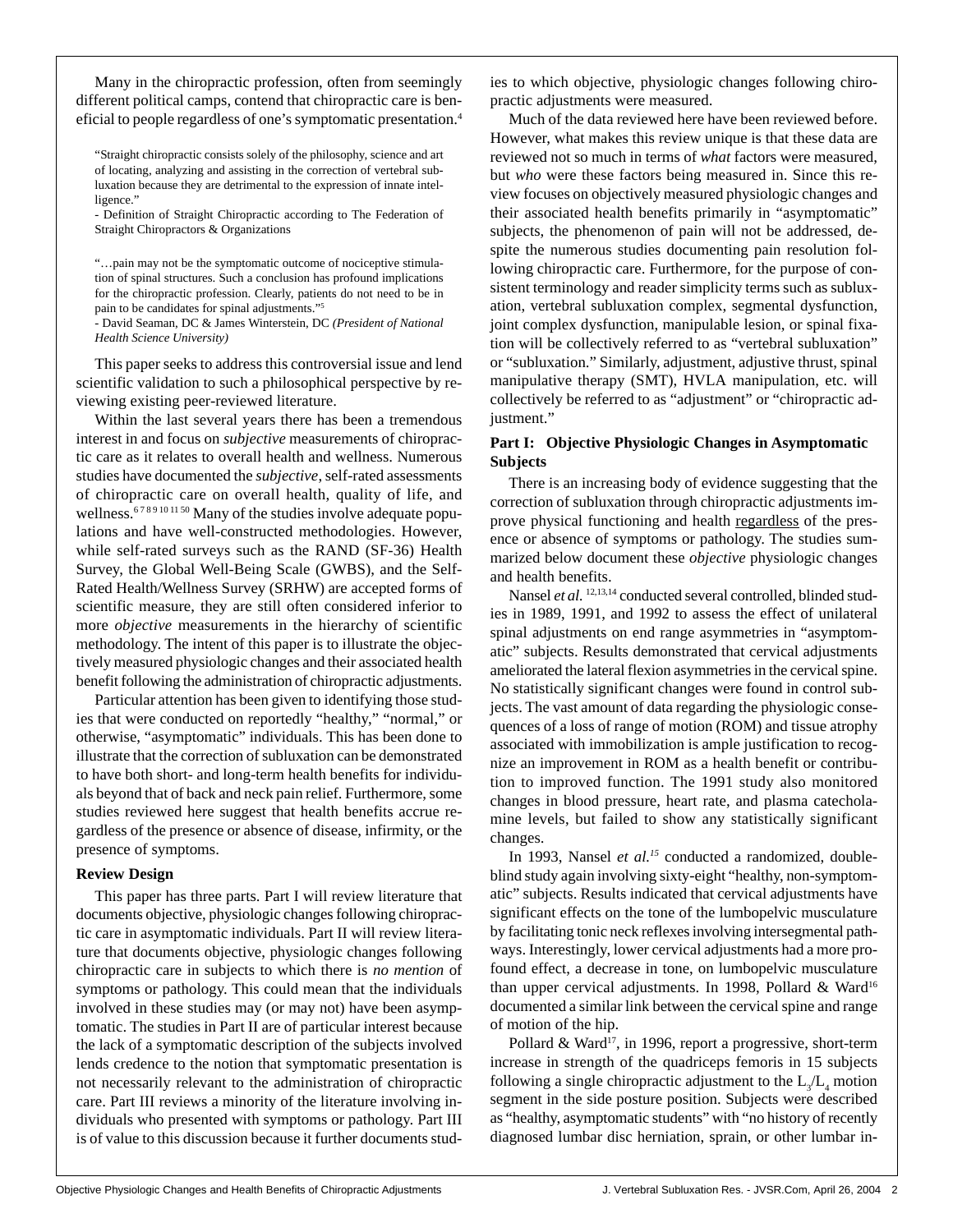Many in the chiropractic profession, often from seemingly different political camps, contend that chiropractic care is beneficial to people regardless of one's symptomatic presentation.4

"Straight chiropractic consists solely of the philosophy, science and art of locating, analyzing and assisting in the correction of vertebral subluxation because they are detrimental to the expression of innate intelligence."

- Definition of Straight Chiropractic according to The Federation of Straight Chiropractors & Organizations

"…pain may not be the symptomatic outcome of nociceptive stimulation of spinal structures. Such a conclusion has profound implications for the chiropractic profession. Clearly, patients do not need to be in pain to be candidates for spinal adjustments."5

- David Seaman, DC & James Winterstein, DC *(President of National Health Science University)*

This paper seeks to address this controversial issue and lend scientific validation to such a philosophical perspective by reviewing existing peer-reviewed literature.

Within the last several years there has been a tremendous interest in and focus on *subjective* measurements of chiropractic care as it relates to overall health and wellness. Numerous studies have documented the *subjective*, self-rated assessments of chiropractic care on overall health, quality of life, and wellness.<sup>6789101150</sup> Many of the studies involve adequate populations and have well-constructed methodologies. However, while self-rated surveys such as the RAND (SF-36) Health Survey, the Global Well-Being Scale (GWBS), and the Self-Rated Health/Wellness Survey (SRHW) are accepted forms of scientific measure, they are still often considered inferior to more *objective* measurements in the hierarchy of scientific methodology. The intent of this paper is to illustrate the objectively measured physiologic changes and their associated health benefit following the administration of chiropractic adjustments.

Particular attention has been given to identifying those studies that were conducted on reportedly "healthy," "normal," or otherwise, "asymptomatic" individuals. This has been done to illustrate that the correction of subluxation can be demonstrated to have both short- and long-term health benefits for individuals beyond that of back and neck pain relief. Furthermore, some studies reviewed here suggest that health benefits accrue regardless of the presence or absence of disease, infirmity, or the presence of symptoms.

#### **Review Design**

This paper has three parts. Part I will review literature that documents objective, physiologic changes following chiropractic care in asymptomatic individuals. Part II will review literature that documents objective, physiologic changes following chiropractic care in subjects to which there is *no mention* of symptoms or pathology. This could mean that the individuals involved in these studies may (or may not) have been asymptomatic. The studies in Part II are of particular interest because the lack of a symptomatic description of the subjects involved lends credence to the notion that symptomatic presentation is not necessarily relevant to the administration of chiropractic care. Part III reviews a minority of the literature involving individuals who presented with symptoms or pathology. Part III is of value to this discussion because it further documents studies to which objective, physiologic changes following chiropractic adjustments were measured.

Much of the data reviewed here have been reviewed before. However, what makes this review unique is that these data are reviewed not so much in terms of *what* factors were measured, but *who* were these factors being measured in. Since this review focuses on objectively measured physiologic changes and their associated health benefits primarily in "asymptomatic" subjects, the phenomenon of pain will not be addressed, despite the numerous studies documenting pain resolution following chiropractic care. Furthermore, for the purpose of consistent terminology and reader simplicity terms such as subluxation, vertebral subluxation complex, segmental dysfunction, joint complex dysfunction, manipulable lesion, or spinal fixation will be collectively referred to as "vertebral subluxation" or "subluxation." Similarly, adjustment, adjustive thrust, spinal manipulative therapy (SMT), HVLA manipulation, etc. will collectively be referred to as "adjustment" or "chiropractic adjustment."

#### **Part I: Objective Physiologic Changes in Asymptomatic Subjects**

There is an increasing body of evidence suggesting that the correction of subluxation through chiropractic adjustments improve physical functioning and health regardless of the presence or absence of symptoms or pathology. The studies summarized below document these *objective* physiologic changes and health benefits.

Nansel et al. <sup>12,13,14</sup> conducted several controlled, blinded studies in 1989, 1991, and 1992 to assess the effect of unilateral spinal adjustments on end range asymmetries in "asymptomatic" subjects. Results demonstrated that cervical adjustments ameliorated the lateral flexion asymmetries in the cervical spine. No statistically significant changes were found in control subjects. The vast amount of data regarding the physiologic consequences of a loss of range of motion (ROM) and tissue atrophy associated with immobilization is ample justification to recognize an improvement in ROM as a health benefit or contribution to improved function. The 1991 study also monitored changes in blood pressure, heart rate, and plasma catecholamine levels, but failed to show any statistically significant changes.

In 1993, Nansel *et al.15* conducted a randomized, doubleblind study again involving sixty-eight "healthy, non-symptomatic" subjects. Results indicated that cervical adjustments have significant effects on the tone of the lumbopelvic musculature by facilitating tonic neck reflexes involving intersegmental pathways. Interestingly, lower cervical adjustments had a more profound effect, a decrease in tone, on lumbopelvic musculature than upper cervical adjustments. In 1998, Pollard  $\&$  Ward<sup>16</sup> documented a similar link between the cervical spine and range of motion of the hip.

Pollard & Ward<sup>17</sup>, in 1996, report a progressive, short-term increase in strength of the quadriceps femoris in 15 subjects following a single chiropractic adjustment to the  $L_{3}/L_{4}$  motion segment in the side posture position. Subjects were described as "healthy, asymptomatic students" with "no history of recently diagnosed lumbar disc herniation, sprain, or other lumbar in**-**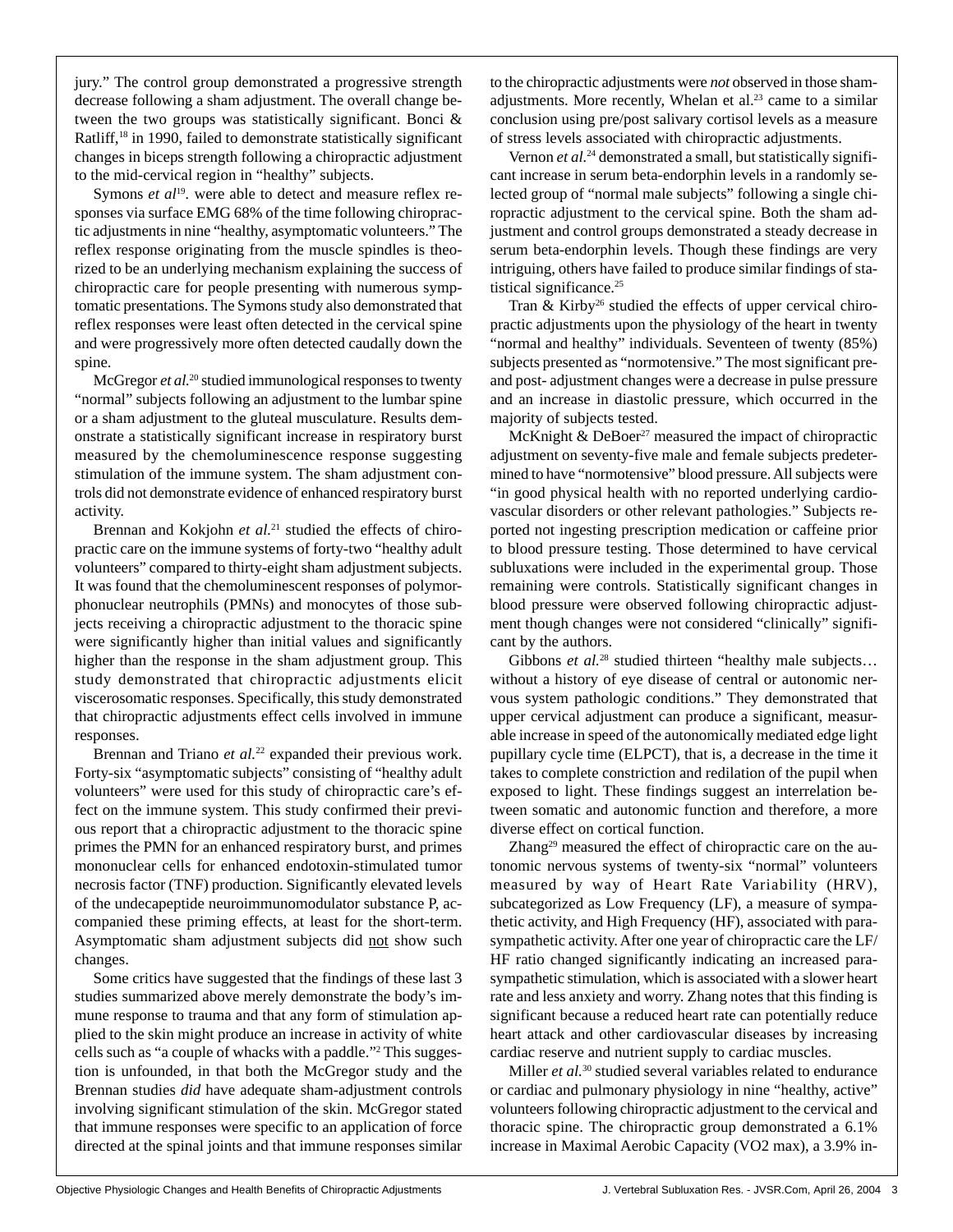jury." The control group demonstrated a progressive strength decrease following a sham adjustment. The overall change between the two groups was statistically significant. Bonci & Ratliff,<sup>18</sup> in 1990, failed to demonstrate statistically significant changes in biceps strength following a chiropractic adjustment to the mid-cervical region in "healthy" subjects.

Symons *et al*<sup>19</sup>. were able to detect and measure reflex responses via surface EMG 68% of the time following chiropractic adjustments in nine "healthy, asymptomatic volunteers." The reflex response originating from the muscle spindles is theorized to be an underlying mechanism explaining the success of chiropractic care for people presenting with numerous symptomatic presentations. The Symons study also demonstrated that reflex responses were least often detected in the cervical spine and were progressively more often detected caudally down the spine.

McGregor *et al.*<sup>20</sup> studied immunological responses to twenty "normal" subjects following an adjustment to the lumbar spine or a sham adjustment to the gluteal musculature. Results demonstrate a statistically significant increase in respiratory burst measured by the chemoluminescence response suggesting stimulation of the immune system. The sham adjustment controls did not demonstrate evidence of enhanced respiratory burst activity.

Brennan and Kokjohn et al.<sup>21</sup> studied the effects of chiropractic care on the immune systems of forty-two "healthy adult volunteers" compared to thirty-eight sham adjustment subjects. It was found that the chemoluminescent responses of polymorphonuclear neutrophils (PMNs) and monocytes of those subjects receiving a chiropractic adjustment to the thoracic spine were significantly higher than initial values and significantly higher than the response in the sham adjustment group. This study demonstrated that chiropractic adjustments elicit viscerosomatic responses. Specifically, this study demonstrated that chiropractic adjustments effect cells involved in immune responses.

Brennan and Triano *et al.*<sup>22</sup> expanded their previous work. Forty-six "asymptomatic subjects" consisting of "healthy adult volunteers" were used for this study of chiropractic care's effect on the immune system. This study confirmed their previous report that a chiropractic adjustment to the thoracic spine primes the PMN for an enhanced respiratory burst, and primes mononuclear cells for enhanced endotoxin-stimulated tumor necrosis factor (TNF) production. Significantly elevated levels of the undecapeptide neuroimmunomodulator substance P, accompanied these priming effects, at least for the short-term. Asymptomatic sham adjustment subjects did not show such changes.

Some critics have suggested that the findings of these last 3 studies summarized above merely demonstrate the body's immune response to trauma and that any form of stimulation applied to the skin might produce an increase in activity of white cells such as "a couple of whacks with a paddle."2 This suggestion is unfounded, in that both the McGregor study and the Brennan studies *did* have adequate sham-adjustment controls involving significant stimulation of the skin. McGregor stated that immune responses were specific to an application of force directed at the spinal joints and that immune responses similar to the chiropractic adjustments were *not* observed in those shamadjustments. More recently, Whelan et al.<sup>23</sup> came to a similar conclusion using pre/post salivary cortisol levels as a measure of stress levels associated with chiropractic adjustments.

Vernon *et al.*<sup>24</sup> demonstrated a small, but statistically significant increase in serum beta-endorphin levels in a randomly selected group of "normal male subjects" following a single chiropractic adjustment to the cervical spine. Both the sham adjustment and control groups demonstrated a steady decrease in serum beta-endorphin levels. Though these findings are very intriguing, others have failed to produce similar findings of statistical significance.<sup>25</sup>

Tran & Kirby<sup>26</sup> studied the effects of upper cervical chiropractic adjustments upon the physiology of the heart in twenty "normal and healthy" individuals. Seventeen of twenty (85%) subjects presented as "normotensive." The most significant preand post- adjustment changes were a decrease in pulse pressure and an increase in diastolic pressure, which occurred in the majority of subjects tested.

McKnight & DeBoer<sup>27</sup> measured the impact of chiropractic adjustment on seventy-five male and female subjects predetermined to have "normotensive" blood pressure. All subjects were "in good physical health with no reported underlying cardiovascular disorders or other relevant pathologies." Subjects reported not ingesting prescription medication or caffeine prior to blood pressure testing. Those determined to have cervical subluxations were included in the experimental group. Those remaining were controls. Statistically significant changes in blood pressure were observed following chiropractic adjustment though changes were not considered "clinically" significant by the authors.

Gibbons *et al.*<sup>28</sup> studied thirteen "healthy male subjects... without a history of eye disease of central or autonomic nervous system pathologic conditions." They demonstrated that upper cervical adjustment can produce a significant, measurable increase in speed of the autonomically mediated edge light pupillary cycle time (ELPCT), that is, a decrease in the time it takes to complete constriction and redilation of the pupil when exposed to light. These findings suggest an interrelation between somatic and autonomic function and therefore, a more diverse effect on cortical function.

Zhang<sup>29</sup> measured the effect of chiropractic care on the autonomic nervous systems of twenty-six "normal" volunteers measured by way of Heart Rate Variability (HRV), subcategorized as Low Frequency (LF), a measure of sympathetic activity, and High Frequency (HF), associated with parasympathetic activity. After one year of chiropractic care the LF/ HF ratio changed significantly indicating an increased parasympathetic stimulation, which is associated with a slower heart rate and less anxiety and worry. Zhang notes that this finding is significant because a reduced heart rate can potentially reduce heart attack and other cardiovascular diseases by increasing cardiac reserve and nutrient supply to cardiac muscles.

Miller *et al.*30 studied several variables related to endurance or cardiac and pulmonary physiology in nine "healthy, active" volunteers following chiropractic adjustment to the cervical and thoracic spine. The chiropractic group demonstrated a 6.1% increase in Maximal Aerobic Capacity (VO2 max), a 3.9% in-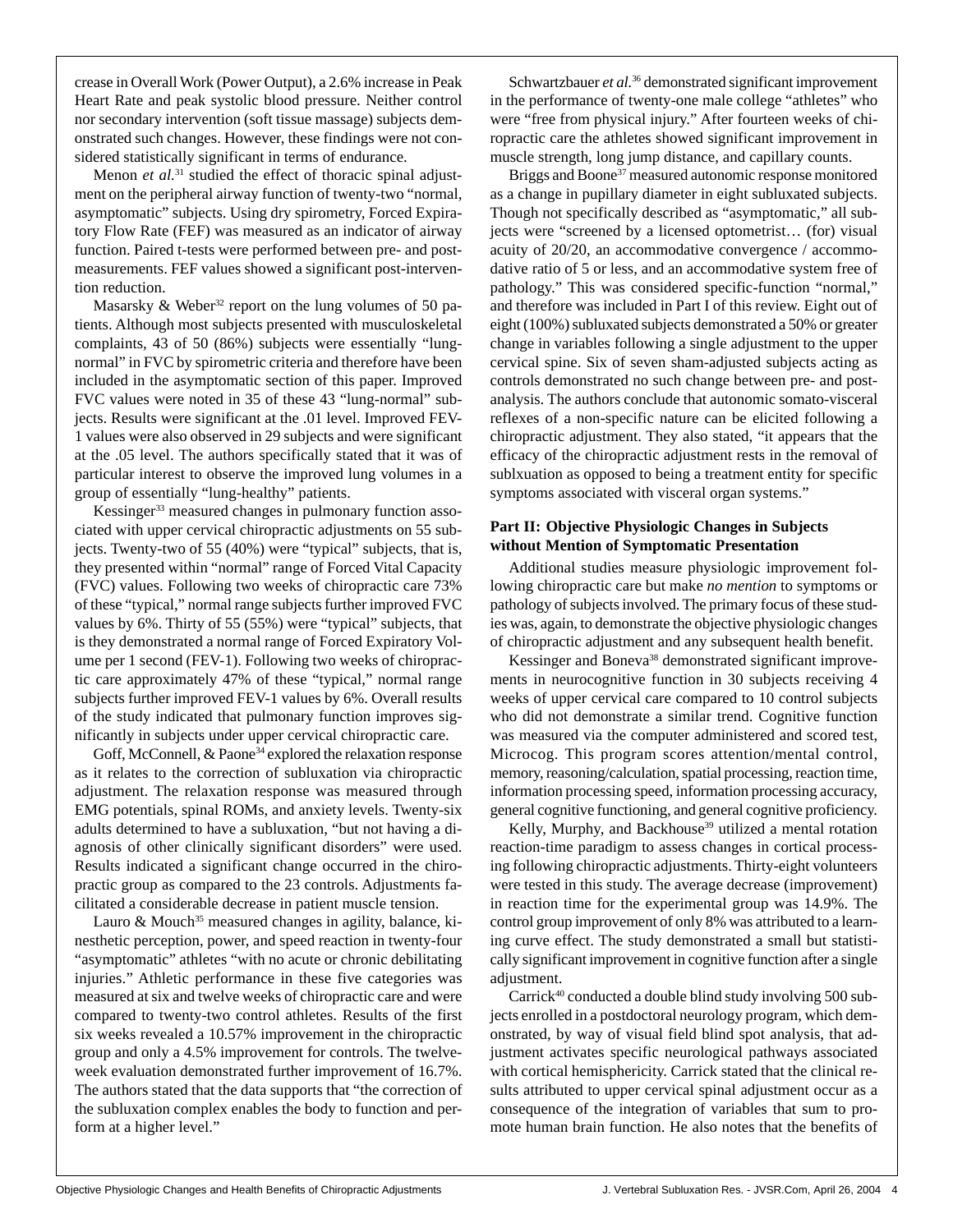crease in Overall Work (Power Output), a 2.6% increase in Peak Heart Rate and peak systolic blood pressure. Neither control nor secondary intervention (soft tissue massage) subjects demonstrated such changes. However, these findings were not considered statistically significant in terms of endurance.

Menon *et al.*<sup>31</sup> studied the effect of thoracic spinal adjustment on the peripheral airway function of twenty-two "normal, asymptomatic" subjects. Using dry spirometry, Forced Expiratory Flow Rate (FEF) was measured as an indicator of airway function. Paired t-tests were performed between pre- and postmeasurements. FEF values showed a significant post-intervention reduction.

Masarsky & Weber<sup>32</sup> report on the lung volumes of 50 patients. Although most subjects presented with musculoskeletal complaints, 43 of 50 (86%) subjects were essentially "lungnormal" in FVC by spirometric criteria and therefore have been included in the asymptomatic section of this paper. Improved FVC values were noted in 35 of these 43 "lung-normal" subjects. Results were significant at the .01 level. Improved FEV-1 values were also observed in 29 subjects and were significant at the .05 level. The authors specifically stated that it was of particular interest to observe the improved lung volumes in a group of essentially "lung-healthy" patients.

Kessinger<sup>33</sup> measured changes in pulmonary function associated with upper cervical chiropractic adjustments on 55 subjects. Twenty-two of 55 (40%) were "typical" subjects, that is, they presented within "normal" range of Forced Vital Capacity (FVC) values. Following two weeks of chiropractic care 73% of these "typical," normal range subjects further improved FVC values by 6%. Thirty of 55 (55%) were "typical" subjects, that is they demonstrated a normal range of Forced Expiratory Volume per 1 second (FEV-1). Following two weeks of chiropractic care approximately 47% of these "typical," normal range subjects further improved FEV-1 values by 6%. Overall results of the study indicated that pulmonary function improves significantly in subjects under upper cervical chiropractic care.

Goff, McConnell, & Paone<sup>34</sup> explored the relaxation response as it relates to the correction of subluxation via chiropractic adjustment. The relaxation response was measured through EMG potentials, spinal ROMs, and anxiety levels. Twenty-six adults determined to have a subluxation, "but not having a diagnosis of other clinically significant disorders" were used. Results indicated a significant change occurred in the chiropractic group as compared to the 23 controls. Adjustments facilitated a considerable decrease in patient muscle tension.

Lauro & Mouch<sup>35</sup> measured changes in agility, balance, kinesthetic perception, power, and speed reaction in twenty-four "asymptomatic" athletes "with no acute or chronic debilitating injuries." Athletic performance in these five categories was measured at six and twelve weeks of chiropractic care and were compared to twenty-two control athletes. Results of the first six weeks revealed a 10.57% improvement in the chiropractic group and only a 4.5% improvement for controls. The twelveweek evaluation demonstrated further improvement of 16.7%. The authors stated that the data supports that "the correction of the subluxation complex enables the body to function and perform at a higher level."

Schwartzbauer *et al.*<sup>36</sup> demonstrated significant improvement in the performance of twenty-one male college "athletes" who were "free from physical injury." After fourteen weeks of chiropractic care the athletes showed significant improvement in muscle strength, long jump distance, and capillary counts.

Briggs and Boone<sup>37</sup> measured autonomic response monitored as a change in pupillary diameter in eight subluxated subjects. Though not specifically described as "asymptomatic," all subjects were "screened by a licensed optometrist… (for) visual acuity of 20/20, an accommodative convergence / accommodative ratio of 5 or less, and an accommodative system free of pathology." This was considered specific-function "normal," and therefore was included in Part I of this review. Eight out of eight (100%) subluxated subjects demonstrated a 50% or greater change in variables following a single adjustment to the upper cervical spine. Six of seven sham-adjusted subjects acting as controls demonstrated no such change between pre- and postanalysis. The authors conclude that autonomic somato-visceral reflexes of a non-specific nature can be elicited following a chiropractic adjustment. They also stated, "it appears that the efficacy of the chiropractic adjustment rests in the removal of sublxuation as opposed to being a treatment entity for specific symptoms associated with visceral organ systems."

### **Part II: Objective Physiologic Changes in Subjects without Mention of Symptomatic Presentation**

Additional studies measure physiologic improvement following chiropractic care but make *no mention* to symptoms or pathology of subjects involved. The primary focus of these studies was, again, to demonstrate the objective physiologic changes of chiropractic adjustment and any subsequent health benefit.

Kessinger and Boneva<sup>38</sup> demonstrated significant improvements in neurocognitive function in 30 subjects receiving 4 weeks of upper cervical care compared to 10 control subjects who did not demonstrate a similar trend. Cognitive function was measured via the computer administered and scored test, Microcog. This program scores attention/mental control, memory, reasoning/calculation, spatial processing, reaction time, information processing speed, information processing accuracy, general cognitive functioning, and general cognitive proficiency.

Kelly, Murphy, and Backhouse<sup>39</sup> utilized a mental rotation reaction-time paradigm to assess changes in cortical processing following chiropractic adjustments. Thirty-eight volunteers were tested in this study. The average decrease (improvement) in reaction time for the experimental group was 14.9%. The control group improvement of only 8% was attributed to a learning curve effect. The study demonstrated a small but statistically significant improvement in cognitive function after a single adjustment.

Carrick<sup>40</sup> conducted a double blind study involving  $500$  subjects enrolled in a postdoctoral neurology program, which demonstrated, by way of visual field blind spot analysis, that adjustment activates specific neurological pathways associated with cortical hemisphericity. Carrick stated that the clinical results attributed to upper cervical spinal adjustment occur as a consequence of the integration of variables that sum to promote human brain function. He also notes that the benefits of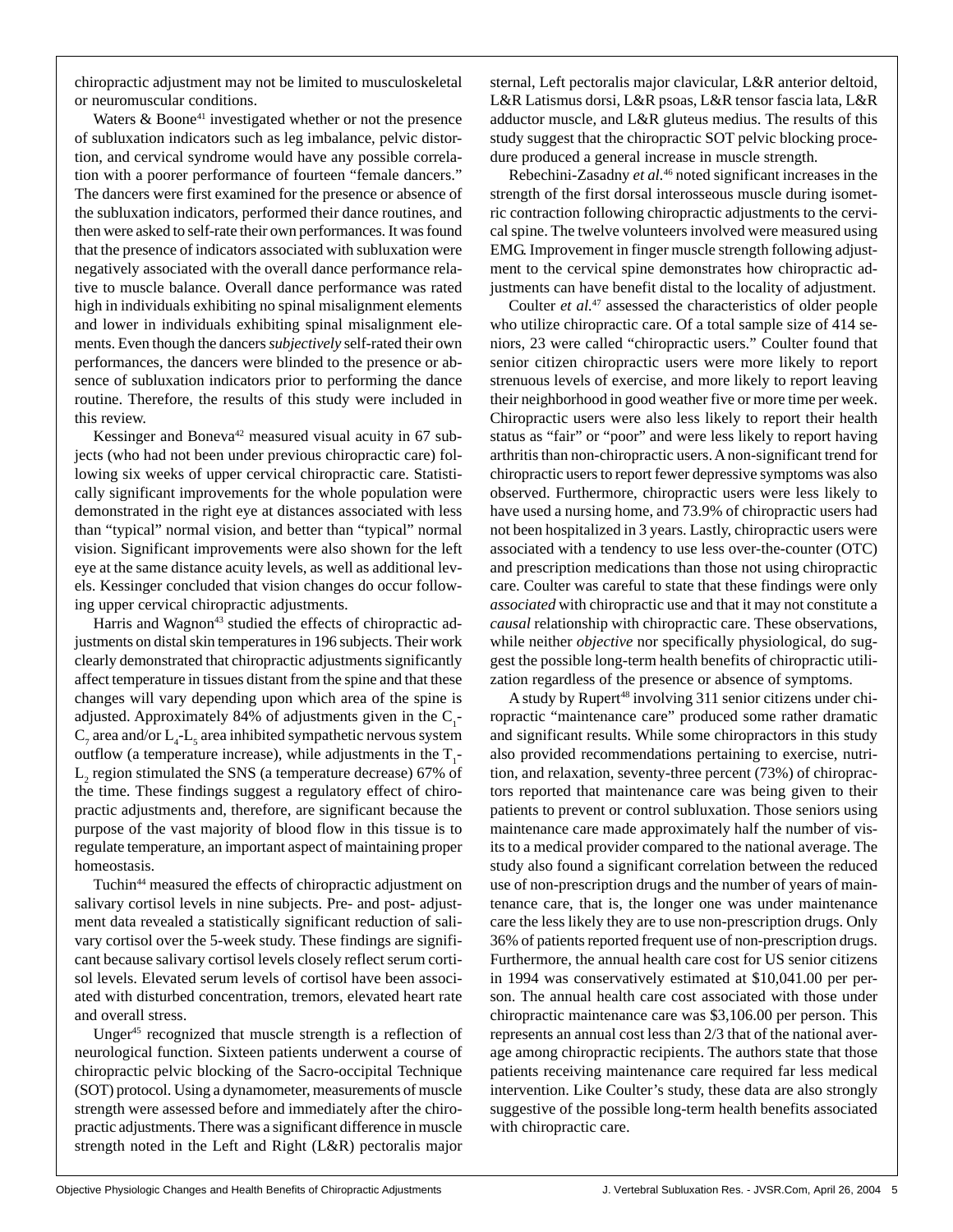chiropractic adjustment may not be limited to musculoskeletal or neuromuscular conditions.

Waters  $\&$  Boone<sup>41</sup> investigated whether or not the presence of subluxation indicators such as leg imbalance, pelvic distortion, and cervical syndrome would have any possible correlation with a poorer performance of fourteen "female dancers." The dancers were first examined for the presence or absence of the subluxation indicators, performed their dance routines, and then were asked to self-rate their own performances. It was found that the presence of indicators associated with subluxation were negatively associated with the overall dance performance relative to muscle balance. Overall dance performance was rated high in individuals exhibiting no spinal misalignment elements and lower in individuals exhibiting spinal misalignment elements. Even though the dancers *subjectively* self-rated their own performances, the dancers were blinded to the presence or absence of subluxation indicators prior to performing the dance routine. Therefore, the results of this study were included in this review.

Kessinger and Boneva<sup>42</sup> measured visual acuity in 67 subjects (who had not been under previous chiropractic care) following six weeks of upper cervical chiropractic care. Statistically significant improvements for the whole population were demonstrated in the right eye at distances associated with less than "typical" normal vision, and better than "typical" normal vision. Significant improvements were also shown for the left eye at the same distance acuity levels, as well as additional levels. Kessinger concluded that vision changes do occur following upper cervical chiropractic adjustments.

Harris and Wagnon<sup>43</sup> studied the effects of chiropractic adjustments on distal skin temperatures in 196 subjects. Their work clearly demonstrated that chiropractic adjustments significantly affect temperature in tissues distant from the spine and that these changes will vary depending upon which area of the spine is adjusted. Approximately 84% of adjustments given in the  $C_1$ - $\mathrm{C}_7$  area and/or  $\mathrm{L}_4\mathrm{-L}_5$  area inhibited sympathetic nervous system outflow (a temperature increase), while adjustments in the  $T_1$ - $L<sub>2</sub>$  region stimulated the SNS (a temperature decrease) 67% of the time. These findings suggest a regulatory effect of chiropractic adjustments and, therefore, are significant because the purpose of the vast majority of blood flow in this tissue is to regulate temperature, an important aspect of maintaining proper homeostasis.

Tuchin<sup>44</sup> measured the effects of chiropractic adjustment on salivary cortisol levels in nine subjects. Pre- and post- adjustment data revealed a statistically significant reduction of salivary cortisol over the 5-week study. These findings are significant because salivary cortisol levels closely reflect serum cortisol levels. Elevated serum levels of cortisol have been associated with disturbed concentration, tremors, elevated heart rate and overall stress.

Unger<sup>45</sup> recognized that muscle strength is a reflection of neurological function. Sixteen patients underwent a course of chiropractic pelvic blocking of the Sacro-occipital Technique (SOT) protocol. Using a dynamometer, measurements of muscle strength were assessed before and immediately after the chiropractic adjustments. There was a significant difference in muscle strength noted in the Left and Right (L&R) pectoralis major sternal, Left pectoralis major clavicular, L&R anterior deltoid, L&R Latismus dorsi, L&R psoas, L&R tensor fascia lata, L&R adductor muscle, and L&R gluteus medius. The results of this study suggest that the chiropractic SOT pelvic blocking procedure produced a general increase in muscle strength.

Rebechini-Zasadny *et al.*<sup>46</sup> noted significant increases in the strength of the first dorsal interosseous muscle during isometric contraction following chiropractic adjustments to the cervical spine. The twelve volunteers involved were measured using EMG. Improvement in finger muscle strength following adjustment to the cervical spine demonstrates how chiropractic adjustments can have benefit distal to the locality of adjustment.

Coulter *et al.*<sup>47</sup> assessed the characteristics of older people who utilize chiropractic care. Of a total sample size of 414 seniors, 23 were called "chiropractic users." Coulter found that senior citizen chiropractic users were more likely to report strenuous levels of exercise, and more likely to report leaving their neighborhood in good weather five or more time per week. Chiropractic users were also less likely to report their health status as "fair" or "poor" and were less likely to report having arthritis than non-chiropractic users. A non-significant trend for chiropractic users to report fewer depressive symptoms was also observed. Furthermore, chiropractic users were less likely to have used a nursing home, and 73.9% of chiropractic users had not been hospitalized in 3 years. Lastly, chiropractic users were associated with a tendency to use less over-the-counter (OTC) and prescription medications than those not using chiropractic care. Coulter was careful to state that these findings were only *associated* with chiropractic use and that it may not constitute a *causal* relationship with chiropractic care. These observations, while neither *objective* nor specifically physiological, do suggest the possible long-term health benefits of chiropractic utilization regardless of the presence or absence of symptoms.

A study by Rupert<sup>48</sup> involving 311 senior citizens under chiropractic "maintenance care" produced some rather dramatic and significant results. While some chiropractors in this study also provided recommendations pertaining to exercise, nutrition, and relaxation, seventy-three percent (73%) of chiropractors reported that maintenance care was being given to their patients to prevent or control subluxation. Those seniors using maintenance care made approximately half the number of visits to a medical provider compared to the national average. The study also found a significant correlation between the reduced use of non-prescription drugs and the number of years of maintenance care, that is, the longer one was under maintenance care the less likely they are to use non-prescription drugs. Only 36% of patients reported frequent use of non-prescription drugs. Furthermore, the annual health care cost for US senior citizens in 1994 was conservatively estimated at \$10,041.00 per person. The annual health care cost associated with those under chiropractic maintenance care was \$3,106.00 per person. This represents an annual cost less than 2/3 that of the national average among chiropractic recipients. The authors state that those patients receiving maintenance care required far less medical intervention. Like Coulter's study, these data are also strongly suggestive of the possible long-term health benefits associated with chiropractic care.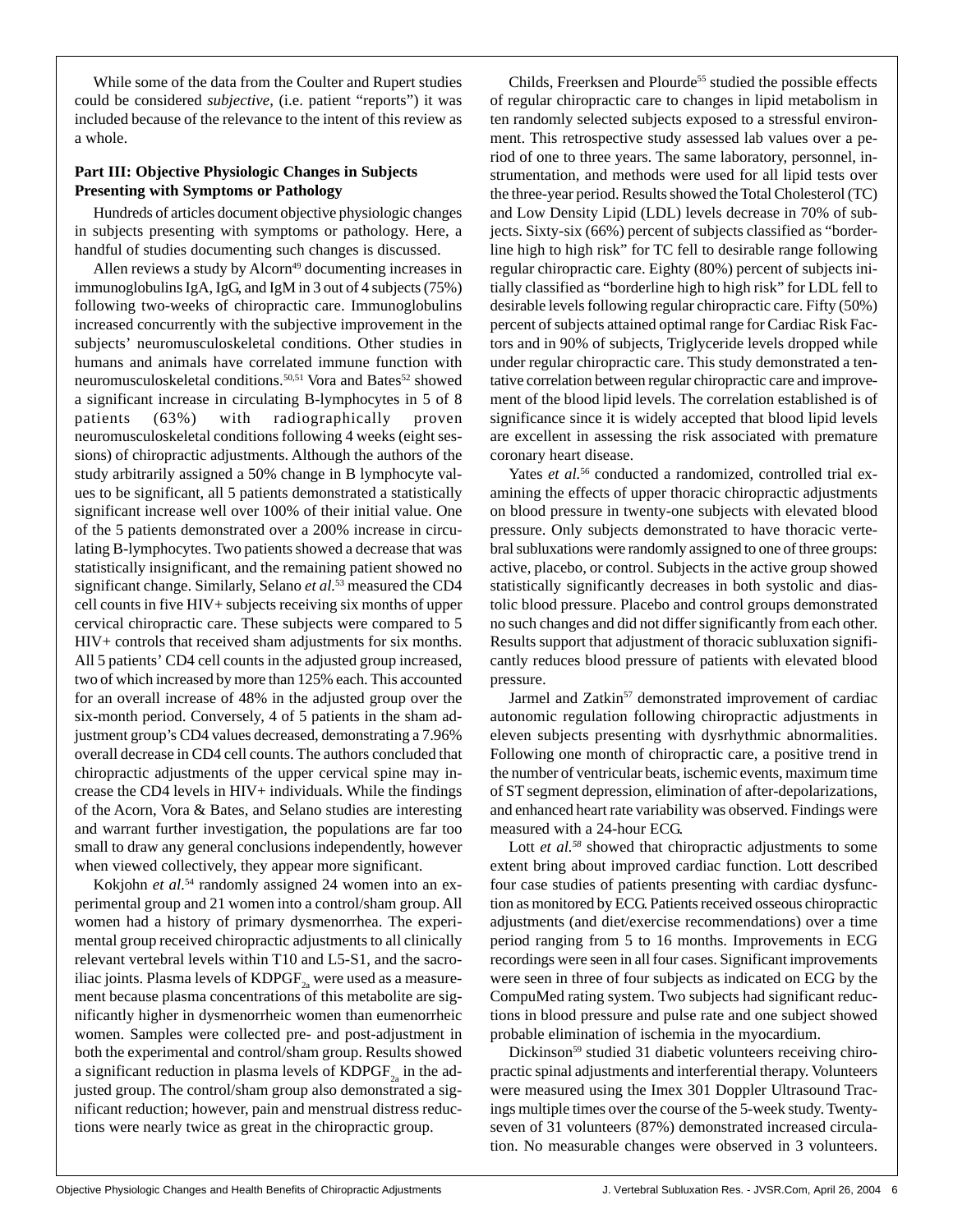While some of the data from the Coulter and Rupert studies could be considered *subjective*, (i.e. patient "reports") it was included because of the relevance to the intent of this review as a whole.

### **Part III: Objective Physiologic Changes in Subjects Presenting with Symptoms or Pathology**

Hundreds of articles document objective physiologic changes in subjects presenting with symptoms or pathology. Here, a handful of studies documenting such changes is discussed.

Allen reviews a study by Alcorn<sup>49</sup> documenting increases in immunoglobulins IgA, IgG, and IgM in 3 out of 4 subjects (75%) following two-weeks of chiropractic care. Immunoglobulins increased concurrently with the subjective improvement in the subjects' neuromusculoskeletal conditions. Other studies in humans and animals have correlated immune function with neuromusculoskeletal conditions.<sup>50,51</sup> Vora and Bates<sup>52</sup> showed a significant increase in circulating B-lymphocytes in 5 of 8 patients (63%) with radiographically proven neuromusculoskeletal conditions following 4 weeks (eight sessions) of chiropractic adjustments. Although the authors of the study arbitrarily assigned a 50% change in B lymphocyte values to be significant, all 5 patients demonstrated a statistically significant increase well over 100% of their initial value. One of the 5 patients demonstrated over a 200% increase in circulating B-lymphocytes. Two patients showed a decrease that was statistically insignificant, and the remaining patient showed no significant change. Similarly, Selano *et al.*<sup>53</sup> measured the CD4 cell counts in five HIV+ subjects receiving six months of upper cervical chiropractic care. These subjects were compared to 5 HIV+ controls that received sham adjustments for six months. All 5 patients' CD4 cell counts in the adjusted group increased, two of which increased by more than 125% each. This accounted for an overall increase of 48% in the adjusted group over the six-month period. Conversely, 4 of 5 patients in the sham adjustment group's CD4 values decreased, demonstrating a 7.96% overall decrease in CD4 cell counts. The authors concluded that chiropractic adjustments of the upper cervical spine may increase the CD4 levels in HIV+ individuals. While the findings of the Acorn, Vora & Bates, and Selano studies are interesting and warrant further investigation, the populations are far too small to draw any general conclusions independently, however when viewed collectively, they appear more significant.

Kokjohn *et al.*<sup>54</sup> randomly assigned 24 women into an experimental group and 21 women into a control/sham group. All women had a history of primary dysmenorrhea. The experimental group received chiropractic adjustments to all clinically relevant vertebral levels within T10 and L5-S1, and the sacroiliac joints. Plasma levels of  $KDPGF_{2a}$  were used as a measurement because plasma concentrations of this metabolite are significantly higher in dysmenorrheic women than eumenorrheic women. Samples were collected pre- and post-adjustment in both the experimental and control/sham group. Results showed a significant reduction in plasma levels of  $KDPGF_{2a}$  in the adjusted group. The control/sham group also demonstrated a significant reduction; however, pain and menstrual distress reductions were nearly twice as great in the chiropractic group.

Childs, Freerksen and Plourde<sup>55</sup> studied the possible effects of regular chiropractic care to changes in lipid metabolism in ten randomly selected subjects exposed to a stressful environment. This retrospective study assessed lab values over a period of one to three years. The same laboratory, personnel, instrumentation, and methods were used for all lipid tests over the three-year period. Results showed the Total Cholesterol (TC) and Low Density Lipid (LDL) levels decrease in 70% of subjects. Sixty-six (66%) percent of subjects classified as "borderline high to high risk" for TC fell to desirable range following regular chiropractic care. Eighty (80%) percent of subjects initially classified as "borderline high to high risk" for LDL fell to desirable levels following regular chiropractic care. Fifty (50%) percent of subjects attained optimal range for Cardiac Risk Factors and in 90% of subjects, Triglyceride levels dropped while under regular chiropractic care. This study demonstrated a tentative correlation between regular chiropractic care and improvement of the blood lipid levels. The correlation established is of significance since it is widely accepted that blood lipid levels are excellent in assessing the risk associated with premature coronary heart disease.

Yates *et al.*<sup>56</sup> conducted a randomized, controlled trial examining the effects of upper thoracic chiropractic adjustments on blood pressure in twenty-one subjects with elevated blood pressure. Only subjects demonstrated to have thoracic vertebral subluxations were randomly assigned to one of three groups: active, placebo, or control. Subjects in the active group showed statistically significantly decreases in both systolic and diastolic blood pressure. Placebo and control groups demonstrated no such changes and did not differ significantly from each other. Results support that adjustment of thoracic subluxation significantly reduces blood pressure of patients with elevated blood pressure.

Jarmel and Zatkin<sup>57</sup> demonstrated improvement of cardiac autonomic regulation following chiropractic adjustments in eleven subjects presenting with dysrhythmic abnormalities. Following one month of chiropractic care, a positive trend in the number of ventricular beats, ischemic events, maximum time of ST segment depression, elimination of after-depolarizations, and enhanced heart rate variability was observed. Findings were measured with a 24-hour ECG.

Lott *et al.<sup>58</sup>* showed that chiropractic adjustments to some extent bring about improved cardiac function. Lott described four case studies of patients presenting with cardiac dysfunction as monitored by ECG. Patients received osseous chiropractic adjustments (and diet/exercise recommendations) over a time period ranging from 5 to 16 months. Improvements in ECG recordings were seen in all four cases. Significant improvements were seen in three of four subjects as indicated on ECG by the CompuMed rating system. Two subjects had significant reductions in blood pressure and pulse rate and one subject showed probable elimination of ischemia in the myocardium.

Dickinson<sup>59</sup> studied 31 diabetic volunteers receiving chiropractic spinal adjustments and interferential therapy. Volunteers were measured using the Imex 301 Doppler Ultrasound Tracings multiple times over the course of the 5-week study. Twentyseven of 31 volunteers (87%) demonstrated increased circulation. No measurable changes were observed in 3 volunteers.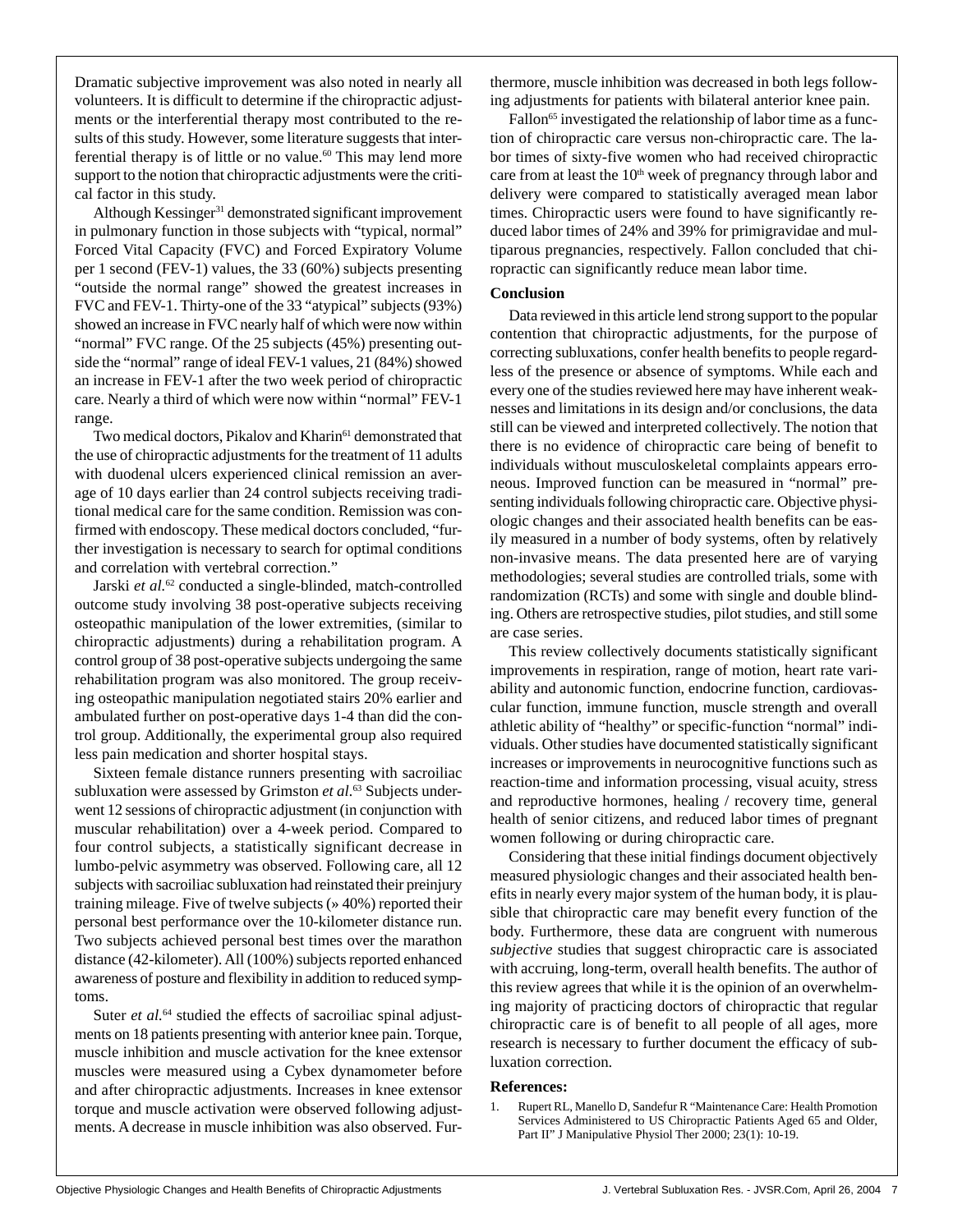Dramatic subjective improvement was also noted in nearly all volunteers. It is difficult to determine if the chiropractic adjustments or the interferential therapy most contributed to the results of this study. However, some literature suggests that interferential therapy is of little or no value.<sup>60</sup> This may lend more support to the notion that chiropractic adjustments were the critical factor in this study.

Although Kessinger<sup>31</sup> demonstrated significant improvement in pulmonary function in those subjects with "typical, normal" Forced Vital Capacity (FVC) and Forced Expiratory Volume per 1 second (FEV-1) values, the 33 (60%) subjects presenting "outside the normal range" showed the greatest increases in FVC and FEV-1. Thirty-one of the 33 "atypical" subjects (93%) showed an increase in FVC nearly half of which were now within "normal" FVC range. Of the 25 subjects (45%) presenting outside the "normal" range of ideal FEV-1 values, 21 (84%) showed an increase in FEV-1 after the two week period of chiropractic care. Nearly a third of which were now within "normal" FEV-1 range.

Two medical doctors, Pikalov and Kharin<sup>61</sup> demonstrated that the use of chiropractic adjustments for the treatment of 11 adults with duodenal ulcers experienced clinical remission an average of 10 days earlier than 24 control subjects receiving traditional medical care for the same condition. Remission was confirmed with endoscopy. These medical doctors concluded, "further investigation is necessary to search for optimal conditions and correlation with vertebral correction."

Jarski et al.<sup>62</sup> conducted a single-blinded, match-controlled outcome study involving 38 post-operative subjects receiving osteopathic manipulation of the lower extremities, (similar to chiropractic adjustments) during a rehabilitation program. A control group of 38 post-operative subjects undergoing the same rehabilitation program was also monitored. The group receiving osteopathic manipulation negotiated stairs 20% earlier and ambulated further on post-operative days 1-4 than did the control group. Additionally, the experimental group also required less pain medication and shorter hospital stays.

Sixteen female distance runners presenting with sacroiliac subluxation were assessed by Grimston *et al.*<sup>63</sup> Subjects underwent 12 sessions of chiropractic adjustment (in conjunction with muscular rehabilitation) over a 4-week period. Compared to four control subjects, a statistically significant decrease in lumbo-pelvic asymmetry was observed. Following care, all 12 subjects with sacroiliac subluxation had reinstated their preinjury training mileage. Five of twelve subjects (» 40%) reported their personal best performance over the 10-kilometer distance run. Two subjects achieved personal best times over the marathon distance (42-kilometer). All (100%) subjects reported enhanced awareness of posture and flexibility in addition to reduced symptoms.

Suter *et al.*<sup>64</sup> studied the effects of sacroiliac spinal adjustments on 18 patients presenting with anterior knee pain. Torque, muscle inhibition and muscle activation for the knee extensor muscles were measured using a Cybex dynamometer before and after chiropractic adjustments. Increases in knee extensor torque and muscle activation were observed following adjustments. A decrease in muscle inhibition was also observed. Furthermore, muscle inhibition was decreased in both legs following adjustments for patients with bilateral anterior knee pain.

Fallon<sup>65</sup> investigated the relationship of labor time as a function of chiropractic care versus non-chiropractic care. The labor times of sixty-five women who had received chiropractic care from at least the  $10<sup>th</sup>$  week of pregnancy through labor and delivery were compared to statistically averaged mean labor times. Chiropractic users were found to have significantly reduced labor times of 24% and 39% for primigravidae and multiparous pregnancies, respectively. Fallon concluded that chiropractic can significantly reduce mean labor time.

#### **Conclusion**

Data reviewed in this article lend strong support to the popular contention that chiropractic adjustments, for the purpose of correcting subluxations, confer health benefits to people regardless of the presence or absence of symptoms. While each and every one of the studies reviewed here may have inherent weaknesses and limitations in its design and/or conclusions, the data still can be viewed and interpreted collectively. The notion that there is no evidence of chiropractic care being of benefit to individuals without musculoskeletal complaints appears erroneous. Improved function can be measured in "normal" presenting individuals following chiropractic care. Objective physiologic changes and their associated health benefits can be easily measured in a number of body systems, often by relatively non-invasive means. The data presented here are of varying methodologies; several studies are controlled trials, some with randomization (RCTs) and some with single and double blinding. Others are retrospective studies, pilot studies, and still some are case series.

This review collectively documents statistically significant improvements in respiration, range of motion, heart rate variability and autonomic function, endocrine function, cardiovascular function, immune function, muscle strength and overall athletic ability of "healthy" or specific-function "normal" individuals. Other studies have documented statistically significant increases or improvements in neurocognitive functions such as reaction-time and information processing, visual acuity, stress and reproductive hormones, healing / recovery time, general health of senior citizens, and reduced labor times of pregnant women following or during chiropractic care.

Considering that these initial findings document objectively measured physiologic changes and their associated health benefits in nearly every major system of the human body, it is plausible that chiropractic care may benefit every function of the body. Furthermore, these data are congruent with numerous *subjective* studies that suggest chiropractic care is associated with accruing, long-term, overall health benefits. The author of this review agrees that while it is the opinion of an overwhelming majority of practicing doctors of chiropractic that regular chiropractic care is of benefit to all people of all ages, more research is necessary to further document the efficacy of subluxation correction.

#### **References:**

1. Rupert RL, Manello D, Sandefur R "Maintenance Care: Health Promotion Services Administered to US Chiropractic Patients Aged 65 and Older, Part II" J Manipulative Physiol Ther 2000; 23(1): 10-19.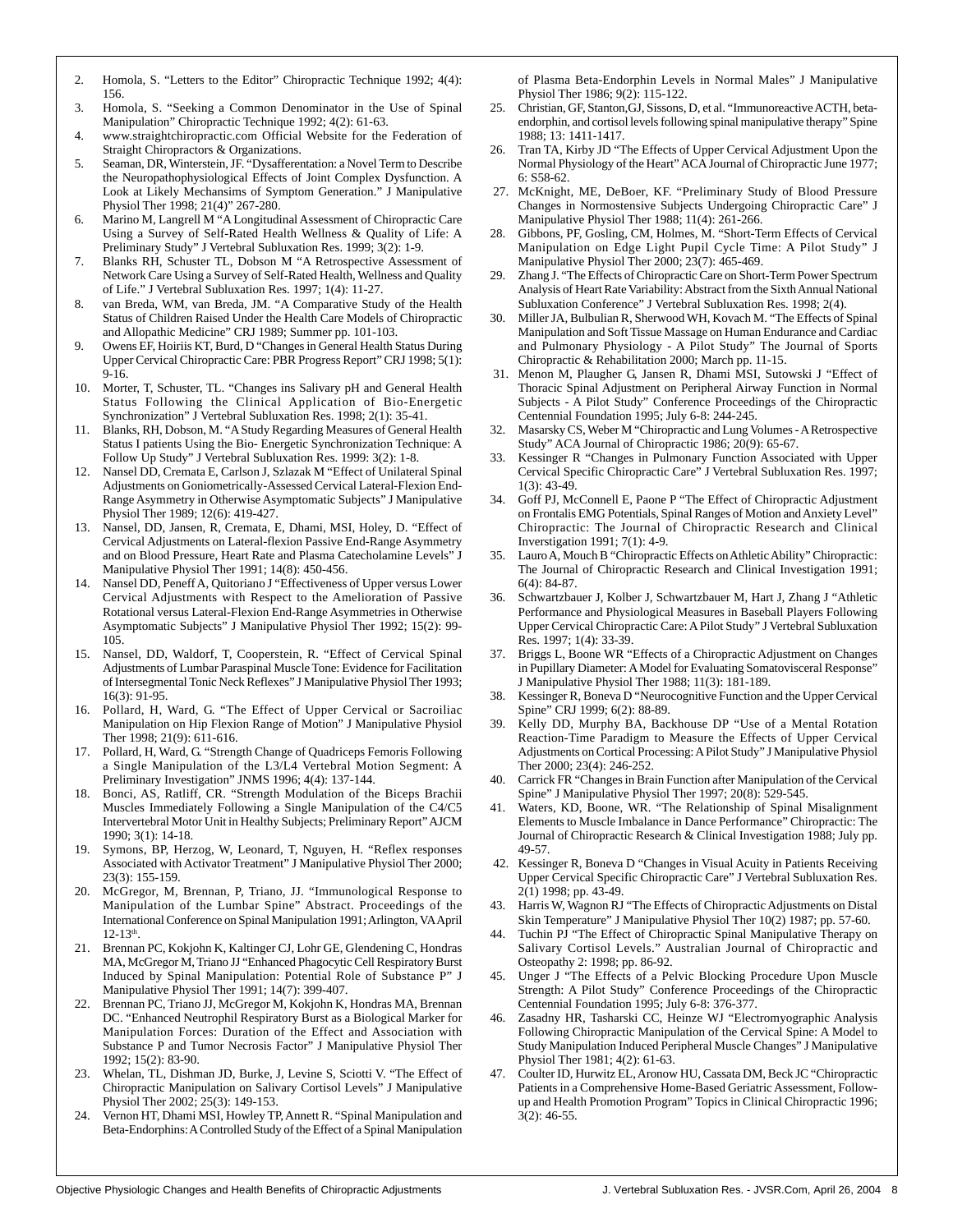- 2. Homola, S. "Letters to the Editor" Chiropractic Technique 1992; 4(4): 156.
- 3. Homola, S. "Seeking a Common Denominator in the Use of Spinal Manipulation" Chiropractic Technique 1992; 4(2): 61-63.
- 4. www.straightchiropractic.com Official Website for the Federation of Straight Chiropractors & Organizations.
- 5. Seaman, DR, Winterstein, JF. "Dysafferentation: a Novel Term to Describe the Neuropathophysiological Effects of Joint Complex Dysfunction. A Look at Likely Mechansims of Symptom Generation." J Manipulative Physiol Ther 1998; 21(4)" 267-280.
- 6. Marino M, Langrell M "A Longitudinal Assessment of Chiropractic Care Using a Survey of Self-Rated Health Wellness & Quality of Life: A Preliminary Study" J Vertebral Subluxation Res. 1999; 3(2): 1-9.
- 7. Blanks RH, Schuster TL, Dobson M "A Retrospective Assessment of Network Care Using a Survey of Self-Rated Health, Wellness and Quality of Life." J Vertebral Subluxation Res. 1997; 1(4): 11-27.
- 8. van Breda, WM, van Breda, JM. "A Comparative Study of the Health Status of Children Raised Under the Health Care Models of Chiropractic and Allopathic Medicine" CRJ 1989; Summer pp. 101-103.
- 9. Owens EF, Hoiriis KT, Burd, D "Changes in General Health Status During Upper Cervical Chiropractic Care: PBR Progress Report" CRJ 1998; 5(1): 9-16.
- 10. Morter, T, Schuster, TL. "Changes ins Salivary pH and General Health Status Following the Clinical Application of Bio-Energetic Synchronization" J Vertebral Subluxation Res. 1998; 2(1): 35-41.
- 11. Blanks, RH, Dobson, M. "A Study Regarding Measures of General Health Status I patients Using the Bio- Energetic Synchronization Technique: A Follow Up Study" J Vertebral Subluxation Res. 1999: 3(2): 1-8.
- Nansel DD, Cremata E, Carlson J, Szlazak M "Effect of Unilateral Spinal Adjustments on Goniometrically-Assessed Cervical Lateral-Flexion End-Range Asymmetry in Otherwise Asymptomatic Subjects" J Manipulative Physiol Ther 1989; 12(6): 419-427.
- 13. Nansel, DD, Jansen, R, Cremata, E, Dhami, MSI, Holey, D. "Effect of Cervical Adjustments on Lateral-flexion Passive End-Range Asymmetry and on Blood Pressure, Heart Rate and Plasma Catecholamine Levels" J Manipulative Physiol Ther 1991; 14(8): 450-456.
- 14. Nansel DD, Peneff A, Quitoriano J "Effectiveness of Upper versus Lower Cervical Adjustments with Respect to the Amelioration of Passive Rotational versus Lateral-Flexion End-Range Asymmetries in Otherwise Asymptomatic Subjects" J Manipulative Physiol Ther 1992; 15(2): 99- 105.
- 15. Nansel, DD, Waldorf, T, Cooperstein, R. "Effect of Cervical Spinal Adjustments of Lumbar Paraspinal Muscle Tone: Evidence for Facilitation of Intersegmental Tonic Neck Reflexes" J Manipulative Physiol Ther 1993; 16(3): 91-95.
- 16. Pollard, H, Ward, G. "The Effect of Upper Cervical or Sacroiliac Manipulation on Hip Flexion Range of Motion" J Manipulative Physiol Ther 1998; 21(9): 611-616.
- 17. Pollard, H, Ward, G. "Strength Change of Quadriceps Femoris Following a Single Manipulation of the L3/L4 Vertebral Motion Segment: A Preliminary Investigation" JNMS 1996; 4(4): 137-144.
- 18. Bonci, AS, Ratliff, CR. "Strength Modulation of the Biceps Brachii Muscles Immediately Following a Single Manipulation of the C4/C5 Intervertebral Motor Unit in Healthy Subjects; Preliminary Report" AJCM 1990; 3(1): 14-18.
- 19. Symons, BP, Herzog, W, Leonard, T, Nguyen, H. "Reflex responses Associated with Activator Treatment" J Manipulative Physiol Ther 2000; 23(3): 155-159.
- 20. McGregor, M, Brennan, P, Triano, JJ. "Immunological Response to Manipulation of the Lumbar Spine" Abstract. Proceedings of the International Conference on Spinal Manipulation 1991; Arlington, VA April  $12 - 13$ <sup>th</sup>.
- 21. Brennan PC, Kokjohn K, Kaltinger CJ, Lohr GE, Glendening C, Hondras MA, McGregor M, Triano JJ "Enhanced Phagocytic Cell Respiratory Burst Induced by Spinal Manipulation: Potential Role of Substance P" J Manipulative Physiol Ther 1991; 14(7): 399-407.
- 22. Brennan PC, Triano JJ, McGregor M, Kokjohn K, Hondras MA, Brennan DC. "Enhanced Neutrophil Respiratory Burst as a Biological Marker for Manipulation Forces: Duration of the Effect and Association with Substance P and Tumor Necrosis Factor" J Manipulative Physiol Ther 1992; 15(2): 83-90.
- 23. Whelan, TL, Dishman JD, Burke, J, Levine S, Sciotti V. "The Effect of Chiropractic Manipulation on Salivary Cortisol Levels" J Manipulative Physiol Ther 2002; 25(3): 149-153.
- 24. Vernon HT, Dhami MSI, Howley TP, Annett R. "Spinal Manipulation and Beta-Endorphins: A Controlled Study of the Effect of a Spinal Manipulation

of Plasma Beta-Endorphin Levels in Normal Males" J Manipulative Physiol Ther 1986; 9(2): 115-122.

- 25. Christian, GF, Stanton,GJ, Sissons, D, et al. "Immunoreactive ACTH, betaendorphin, and cortisol levels following spinal manipulative therapy" Spine 1988; 13: 1411-1417.
- 26. Tran TA, Kirby JD "The Effects of Upper Cervical Adjustment Upon the Normal Physiology of the Heart" ACA Journal of Chiropractic June 1977; 6: S58-62.
- 27. McKnight, ME, DeBoer, KF. "Preliminary Study of Blood Pressure Changes in Normostensive Subjects Undergoing Chiropractic Care" J Manipulative Physiol Ther 1988; 11(4): 261-266.
- 28. Gibbons, PF, Gosling, CM, Holmes, M. "Short-Term Effects of Cervical Manipulation on Edge Light Pupil Cycle Time: A Pilot Study" J Manipulative Physiol Ther 2000; 23(7): 465-469.
- 29. Zhang J. "The Effects of Chiropractic Care on Short-Term Power Spectrum Analysis of Heart Rate Variability: Abstract from the Sixth Annual National Subluxation Conference" J Vertebral Subluxation Res. 1998; 2(4).
- 30. Miller JA, Bulbulian R, Sherwood WH, Kovach M. "The Effects of Spinal Manipulation and Soft Tissue Massage on Human Endurance and Cardiac and Pulmonary Physiology - A Pilot Study" The Journal of Sports Chiropractic & Rehabilitation 2000; March pp. 11-15.
- 31. Menon M, Plaugher G, Jansen R, Dhami MSI, Sutowski J "Effect of Thoracic Spinal Adjustment on Peripheral Airway Function in Normal Subjects - A Pilot Study" Conference Proceedings of the Chiropractic Centennial Foundation 1995; July 6-8: 244-245.
- 32. Masarsky CS, Weber M "Chiropractic and Lung Volumes A Retrospective Study" ACA Journal of Chiropractic 1986; 20(9): 65-67.
- 33. Kessinger R "Changes in Pulmonary Function Associated with Upper Cervical Specific Chiropractic Care" J Vertebral Subluxation Res. 1997;  $1(3)$ : 43-49.
- 34. Goff PJ, McConnell E, Paone P "The Effect of Chiropractic Adjustment on Frontalis EMG Potentials, Spinal Ranges of Motion and Anxiety Level" Chiropractic: The Journal of Chiropractic Research and Clinical Inverstigation 1991; 7(1): 4-9.
- 35. Lauro A, Mouch B "Chiropractic Effects on Athletic Ability" Chiropractic: The Journal of Chiropractic Research and Clinical Investigation 1991; 6(4): 84-87.
- 36. Schwartzbauer J, Kolber J, Schwartzbauer M, Hart J, Zhang J "Athletic Performance and Physiological Measures in Baseball Players Following Upper Cervical Chiropractic Care: A Pilot Study" J Vertebral Subluxation Res. 1997; 1(4): 33-39.
- 37. Briggs L, Boone WR "Effects of a Chiropractic Adjustment on Changes in Pupillary Diameter: A Model for Evaluating Somatovisceral Response" J Manipulative Physiol Ther 1988; 11(3): 181-189.
- 38. Kessinger R, Boneva D "Neurocognitive Function and the Upper Cervical Spine" CRJ 1999; 6(2): 88-89.
- 39. Kelly DD, Murphy BA, Backhouse DP "Use of a Mental Rotation Reaction-Time Paradigm to Measure the Effects of Upper Cervical Adjustments on Cortical Processing: A Pilot Study" J Manipulative Physiol Ther 2000; 23(4): 246-252.
- Carrick FR "Changes in Brain Function after Manipulation of the Cervical Spine" J Manipulative Physiol Ther 1997; 20(8): 529-545.
- 41. Waters, KD, Boone, WR. "The Relationship of Spinal Misalignment Elements to Muscle Imbalance in Dance Performance" Chiropractic: The Journal of Chiropractic Research & Clinical Investigation 1988; July pp. 49-57.
- 42. Kessinger R, Boneva D "Changes in Visual Acuity in Patients Receiving Upper Cervical Specific Chiropractic Care" J Vertebral Subluxation Res. 2(1) 1998; pp. 43-49.
- 43. Harris W, Wagnon RJ "The Effects of Chiropractic Adjustments on Distal Skin Temperature" J Manipulative Physiol Ther 10(2) 1987; pp. 57-60.
- 44. Tuchin PJ "The Effect of Chiropractic Spinal Manipulative Therapy on Salivary Cortisol Levels." Australian Journal of Chiropractic and Osteopathy 2: 1998; pp. 86-92.
- 45. Unger J "The Effects of a Pelvic Blocking Procedure Upon Muscle Strength: A Pilot Study" Conference Proceedings of the Chiropractic Centennial Foundation 1995; July 6-8: 376-377.
- Zasadny HR, Tasharski CC, Heinze WJ "Electromyographic Analysis Following Chiropractic Manipulation of the Cervical Spine: A Model to Study Manipulation Induced Peripheral Muscle Changes" J Manipulative Physiol Ther 1981; 4(2): 61-63.
- 47. Coulter ID, Hurwitz EL, Aronow HU, Cassata DM, Beck JC "Chiropractic Patients in a Comprehensive Home-Based Geriatric Assessment, Followup and Health Promotion Program" Topics in Clinical Chiropractic 1996; 3(2): 46-55.